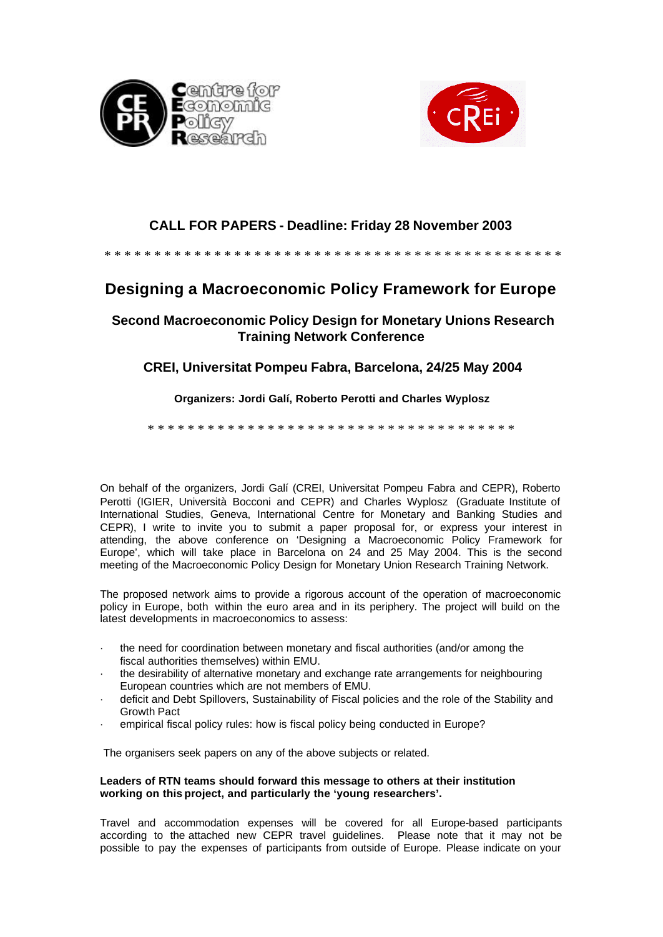



## **CALL FOR PAPERS - Deadline: Friday 28 November 2003**

#### \* \* \* \* \* \* \* \* \* \* \* \* \* \* \* \* \* \* \* \* \* \* \* \* \* \* \* \* \* \* \* \* \* \* \* \* \* \* \* \* \* \* \* \* \* \*

# **Designing a Macroeconomic Policy Framework for Europe**

### **Second Macroeconomic Policy Design for Monetary Unions Research Training Network Conference**

### **CREI, Universitat Pompeu Fabra, Barcelona, 24/25 May 2004**

### **Organizers: Jordi Galí, Roberto Perotti and Charles Wyplosz**

\* \* \* \* \* \* \* \* \* \* \* \* \* \* \* \* \* \* \* \* \* \* \* \* \* \* \* \* \* \* \* \* \* \* \* \* \*

On behalf of the organizers, Jordi Galí (CREI, Universitat Pompeu Fabra and CEPR), Roberto Perotti (IGIER, Università Bocconi and CEPR) and Charles Wyplosz (Graduate Institute of International Studies, Geneva, International Centre for Monetary and Banking Studies and CEPR), I write to invite you to submit a paper proposal for, or express your interest in attending, the above conference on 'Designing a Macroeconomic Policy Framework for Europe', which will take place in Barcelona on 24 and 25 May 2004. This is the second meeting of the Macroeconomic Policy Design for Monetary Union Research Training Network.

The proposed network aims to provide a rigorous account of the operation of macroeconomic policy in Europe, both within the euro area and in its periphery. The project will build on the latest developments in macroeconomics to assess:

- the need for coordination between monetary and fiscal authorities (and/or among the fiscal authorities themselves) within EMU.
- · the desirability of alternative monetary and exchange rate arrangements for neighbouring European countries which are not members of EMU.
- deficit and Debt Spillovers, Sustainability of Fiscal policies and the role of the Stability and Growth Pact
- empirical fiscal policy rules: how is fiscal policy being conducted in Europe?

The organisers seek papers on any of the above subjects or related.

#### **Leaders of RTN teams should forward this message to others at their institution working on this project, and particularly the 'young researchers'.**

Travel and accommodation expenses will be covered for all Europe-based participants according to the attached new CEPR travel guidelines. Please note that it may not be possible to pay the expenses of participants from outside of Europe. Please indicate on your